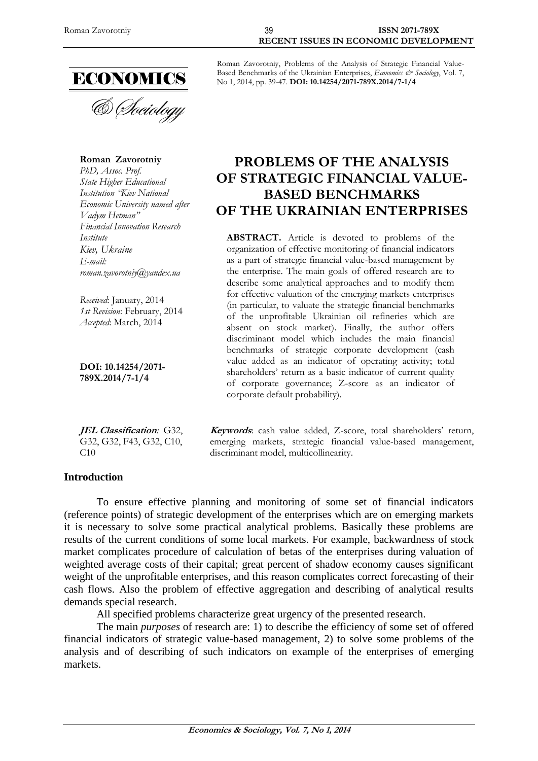

**Roman Zavorotniy** *PhD, Assoc. Prof. State Higher Educational Institution "Kiev National Economic University named after Vadym Hetman" Financial Innovation Research Institute Kiev, Ukraine E-mail: roman.zavorotniy@yandex.ua*

*Received*: January, 2014 *1st Revision*: February, 2014 *Accepted*: March, 2014

**DOI: 10.14254/2071- 789X.2014/7-1/4**

**JEL Classification***:* G32, G32, G32, F43, G32, C10, C10

# **Introduction**

Roman Zavorotniy, Problems of the Analysis of Strategic Financial Value-Based Benchmarks of the Ukrainian Enterprises, *Economics & Sociology*, Vol. 7, No 1, 2014, pp. 39-47. **DOI: 10.14254/2071-789X.2014/7-1/4**

# **PROBLEMS OF THE ANALYSIS OF STRATEGIC FINANCIAL VALUE-BASED BENCHMARKS OF THE UKRAINIAN ENTERPRISES**

**ABSTRACT.** Article is devoted to problems of the organization of effective monitoring of financial indicators as a part of strategic financial value-based management by the enterprise. The main goals of offered research are to describe some analytical approaches and to modify them for effective valuation of the emerging markets enterprises (in particular, to valuate the strategic financial benchmarks of the unprofitable Ukrainian oil refineries which are absent on stock market). Finally, the author offers discriminant model which includes the main financial benchmarks of strategic corporate development (cash value added as an indicator of operating activity; total shareholders' return as a basic indicator of current quality of corporate governance; Z-score as an indicator of corporate default probability).

**Keywords**: cash value added, Z-score, total shareholders' return, emerging markets, strategic financial value-based management, discriminant model, multicollinearity.

To ensure effective planning and monitoring of some set of financial indicators (reference points) of strategic development of the enterprises which are on emerging markets it is necessary to solve some practical analytical problems. Basically these problems are results of the current conditions of some local markets. For example, backwardness of stock market complicates procedure of calculation of betas of the enterprises during valuation of weighted average costs of their capital; great percent of shadow economy causes significant weight of the unprofitable enterprises, and this reason complicates correct forecasting of their cash flows. Also the problem of effective aggregation and describing of analytical results demands special research.

All specified problems characterize great urgency of the presented research.

The main *purposes* of research are: 1) to describe the efficiency of some set of offered financial indicators of strategic value-based management, 2) to solve some problems of the analysis and of describing of such indicators on example of the enterprises of emerging markets.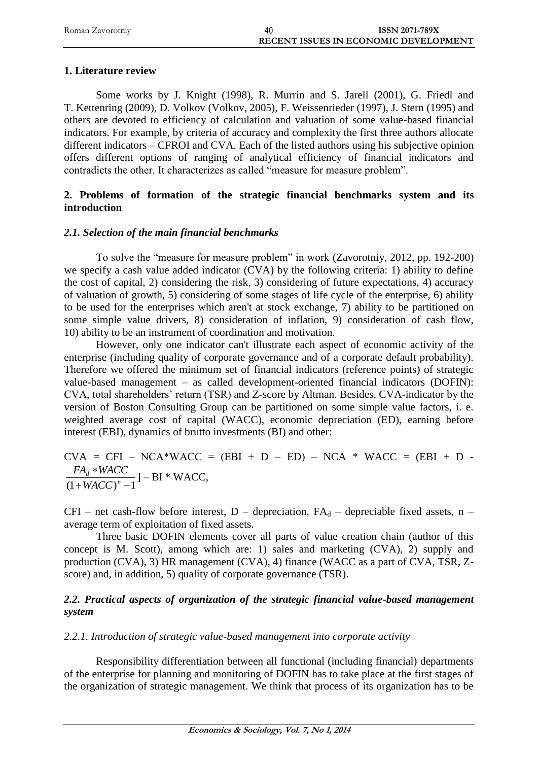| Roman Zavorotniy | <b>ISSN 2071-789X</b>                        |
|------------------|----------------------------------------------|
|                  | <b>RECENT ISSUES IN ECONOMIC DEVELOPMENT</b> |

#### **1. Literature review**

Some works by J. Knight (1998), R. Murrin and S. Jarell (2001), G. Friedl and T. Kettenring (2009), D. Volkov (Volkov, 2005), F. Weissenrieder (1997), J. Stern (1995) and others are devoted to efficiency of calculation and valuation of some value-based financial indicators. For example, by criteria of accuracy and complexity the first three authors allocate different indicators – CFROI and CVA. Each of the listed authors using his subjective opinion offers different options of ranging of analytical efficiency of financial indicators and contradicts the other. It characterizes as called "measure for measure problem".

# **2. Problems of formation of the strategic financial benchmarks system and its introduction**

#### *2.1. Selection of the main financial benchmarks*

To solve the "measure for measure problem" in work (Zavorotniy, 2012, pp. 192-200) we specify a cash value added indicator (CVA) by the following criteria: 1) ability to define the cost of capital, 2) considering the risk, 3) considering of future expectations, 4) accuracy of valuation of growth, 5) considering of some stages of life cycle of the enterprise, 6) ability to be used for the enterprises which aren't at stock exchange, 7) ability to be partitioned on some simple value drivers, 8) consideration of inflation, 9) consideration of cash flow, 10) ability to be an instrument of coordination and motivation.

However, only one indicator can't illustrate each aspect of economic activity of the enterprise (including quality of corporate governance and of a corporate default probability). Therefore we offered the minimum set of financial indicators (reference points) of strategic value-based management – as called development-oriented financial indicators (DOFIN): CVA, total shareholders' return (TSR) and Z-score by Altman. Besides, CVA-indicator by the version of Boston Consulting Group can be partitioned on some simple value factors, i. e. weighted average cost of capital (WACC), economic depreciation (ED), earning before interest (EBI), dynamics of brutto investments (BI) and other:

 $CVA = CFI - NCA*WACC = (EBI + D - ED) - NCA * WACC = (EBI + D - EDI)$  $(1 + WACC)^n - 1$  $\ast$ *n d WACC*  $\frac{FA_d * WACC}{W1 \cdot GCS_H}$ ] – BI \* WACC,

CFI – net cash-flow before interest, D – depreciation,  $FA_d$  – depreciable fixed assets, n – average term of exploitation of fixed assets.

Three basic DOFIN elements cover all parts of value creation chain (author of this concept is M. Scott), among which are: 1) sales and marketing (CVA), 2) supply and production (CVA), 3) HR management (CVA), 4) finance (WACC as a part of CVA, TSR, Zscore) and, in addition, 5) quality of corporate governance (TSR).

# 2.2. Practical aspects of organization of the strategic financial value-based management *system*

# *2.2.1. Introduction of strategic value-based management into corporate activity*

Responsibility differentiation between all functional (including financial) departments of the enterprise for planning and monitoring of DOFIN has to take place at the first stages of the organization of strategic management. We think that process of its organization has to be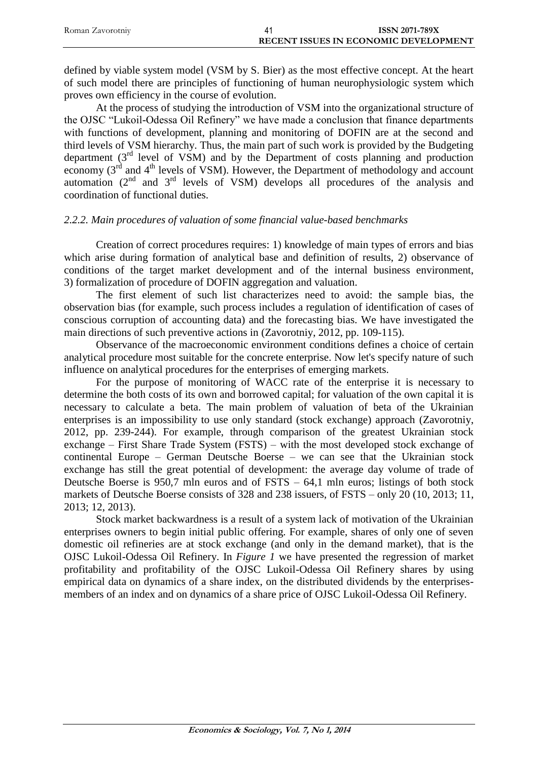| Roman Zavorotniy | <b>ISSN 2071-789X</b>                        |
|------------------|----------------------------------------------|
|                  | <b>RECENT ISSUES IN ECONOMIC DEVELOPMENT</b> |

defined by viable system model (VSM by S. Bier) as the most effective concept. At the heart of such model there are principles of functioning of human neurophysiologic system which proves own efficiency in the course of evolution.

At the process of studying the introduction of VSM into the organizational structure of the OJSC "Lukoil-Odessa Oil Refinery" we have made a conclusion that finance departments with functions of development, planning and monitoring of DOFIN are at the second and third levels of VSM hierarchy. Thus, the main part of such work is provided by the Budgeting department  $(3<sup>rd</sup>$  level of VSM) and by the Department of costs planning and production economy  $(3^{rd}$  and  $4^{th}$  levels of VSM). However, the Department of methodology and account automation  $(2<sup>nd</sup>$  and  $3<sup>rd</sup>$  levels of VSM) develops all procedures of the analysis and coordination of functional duties.

#### *2.2.2. Main procedures of valuation of some financial value-based benchmarks*

Creation of correct procedures requires: 1) knowledge of main types of errors and bias which arise during formation of analytical base and definition of results, 2) observance of conditions of the target market development and of the internal business environment, 3) formalization of procedure of DOFIN aggregation and valuation.

The first element of such list characterizes need to avoid: the sample bias, the observation bias (for example, such process includes a regulation of identification of cases of conscious corruption of accounting data) and the forecasting bias. We have investigated the main directions of such preventive actions in (Zavorotniy, 2012, pp. 109-115).

Observance of the macroeconomic environment conditions defines a choice of certain analytical procedure most suitable for the concrete enterprise. Now let's specify nature of such influence on analytical procedures for the enterprises of emerging markets.

For the purpose of monitoring of WACC rate of the enterprise it is necessary to determine the both costs of its own and borrowed capital; for valuation of the own capital it is necessary to calculate a beta. The main problem of valuation of beta of the Ukrainian enterprises is an impossibility to use only standard (stock exchange) approach (Zavorotniy, 2012, pp. 239-244). For example, through comparison of the greatest Ukrainian stock exchange – First Share Trade System (FSTS) – with the most developed stock exchange of continental Europe – German Deutsche Boerse – we can see that the Ukrainian stock exchange has still the great potential of development: the average day volume of trade of Deutsche Boerse is 950,7 mln euros and of FSTS – 64,1 mln euros; listings of both stock markets of Deutsche Boerse consists of 328 and 238 issuers, of FSTS – only 20 (10, 2013; 11, 2013; 12, 2013).

Stock market backwardness is a result of a system lack of motivation of the Ukrainian enterprises owners to begin initial public offering. For example, shares of only one of seven domestic oil refineries are at stock exchange (and only in the demand market), that is the OJSC Lukoil-Odessa Oil Refinery. In *Figure 1* we have presented the regression of market profitability and profitability of the OJSC Lukoil-Odessa Oil Refinery shares by using empirical data on dynamics of a share index, on the distributed dividends by the enterprisesmembers of an index and on dynamics of a share price of OJSC Lukoil-Odessa Oil Refinery.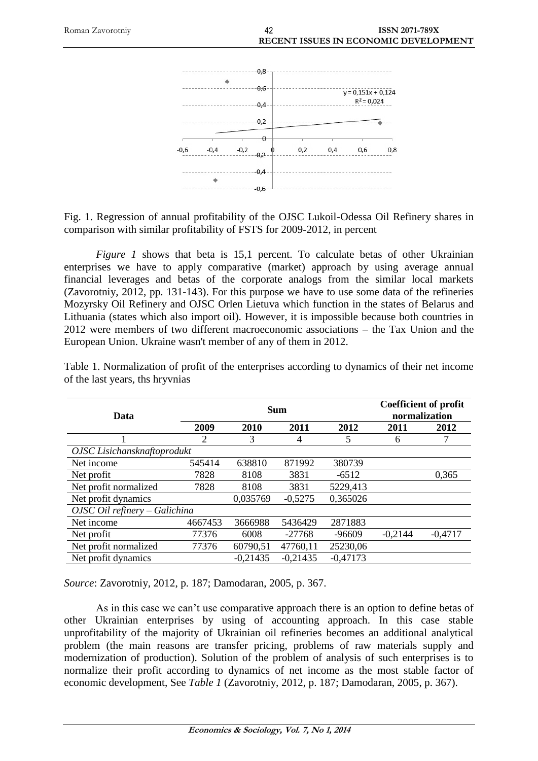

Fig. 1. Regression of annual profitability of the OJSC Lukoil-Odessa Oil Refinery shares in comparison with similar profitability of FSTS for 2009-2012, in percent

*Figure 1* shows that beta is 15,1 percent. To calculate betas of other Ukrainian enterprises we have to apply comparative (market) approach by using average annual financial leverages and betas of the corporate analogs from the similar local markets (Zavorotniy, 2012, pp. 131-143). For this purpose we have to use some data of the refineries Mozyrsky Oil Refinery and OJSC Orlen Lietuva which function in the states of Belarus and Lithuania (states which also import oil). However, it is impossible because both countries in 2012 were members of two different macroeconomic associations – the Tax Union and the European Union. Ukraine wasn't member of any of them in 2012.

| Data                                   | <b>Sum</b> |            |            | <b>Coefficient of profit</b><br>normalization |           |           |
|----------------------------------------|------------|------------|------------|-----------------------------------------------|-----------|-----------|
|                                        | 2009       | 2010       | 2011       | 2012                                          | 2011      | 2012      |
|                                        | 2          | 3          | 4          | 5                                             | 6         |           |
| OJSC Lisichansknaftoprodukt            |            |            |            |                                               |           |           |
| Net income                             | 545414     | 638810     | 871992     | 380739                                        |           |           |
| Net profit                             | 7828       | 8108       | 3831       | $-6512$                                       |           | 0,365     |
| Net profit normalized                  | 7828       | 8108       | 3831       | 5229,413                                      |           |           |
| Net profit dynamics                    |            | 0,035769   | $-0.5275$  | 0.365026                                      |           |           |
| $OJSC$ <i>Oil refinery – Galichina</i> |            |            |            |                                               |           |           |
| Net income                             | 4667453    | 3666988    | 5436429    | 2871883                                       |           |           |
| Net profit                             | 77376      | 6008       | $-27768$   | -96609                                        | $-0,2144$ | $-0.4717$ |
| Net profit normalized                  | 77376      | 60790,51   | 47760,11   | 25230,06                                      |           |           |
| Net profit dynamics                    |            | $-0,21435$ | $-0,21435$ | $-0.47173$                                    |           |           |

Table 1. Normalization of profit of the enterprises according to dynamics of their net income of the last years, ths hryvnias

*Source*: Zavorotniy, 2012, p. 187; Damodaran, 2005, p. 367.

As in this case we can't use comparative approach there is an option to define betas of other Ukrainian enterprises by using of accounting approach. In this case stable unprofitability of the majority of Ukrainian oil refineries becomes an additional analytical problem (the main reasons are transfer pricing, problems of raw materials supply and modernization of production). Solution of the problem of analysis of such enterprises is to normalize their profit according to dynamics of net income as the most stable factor of economic development, See *Table 1* (Zavorotniy, 2012, p. 187; Damodaran, 2005, p. 367).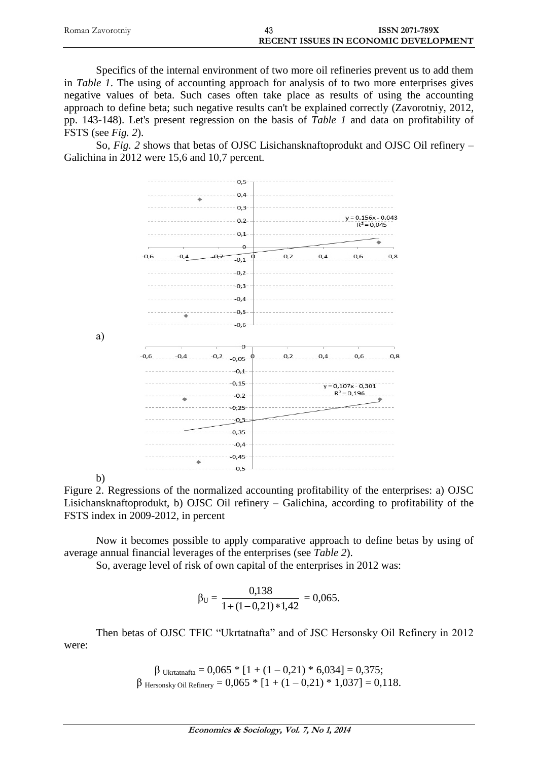| Roman Zavorotniy | <b>ISSN 2071-789X</b>                        |
|------------------|----------------------------------------------|
|                  | <b>RECENT ISSUES IN ECONOMIC DEVELOPMENT</b> |

Specifics of the internal environment of two more oil refineries prevent us to add them in *Table 1*. The using of accounting approach for analysis of to two more enterprises gives negative values of beta. Such cases often take place as results of using the accounting approach to define beta; such negative results can't be explained correctly (Zavorotniy, 2012, pp. 143-148). Let's present regression on the basis of *Table 1* and data on profitability of FSTS (see *Fig. 2*).

So, *Fig. 2* shows that betas of OJSC Lisichansknaftoprodukt and OJSC Oil refinery – Galichina in 2012 were 15,6 and 10,7 percent.



b)

а)

Figure 2. Regressions of the normalized accounting profitability of the enterprises: a) OJSC Lisichansknaftoprodukt, b) OJSC Oil refinery – Galichina, according to profitability of the FSTS index in 2009-2012, in percent

Now it becomes possible to apply comparative approach to define betas by using of average annual financial leverages of the enterprises (see *Table 2*).

So, average level of risk of own capital of the enterprises in 2012 was:

$$
\beta_U = \frac{0,138}{1 + (1 - 0,21) * 1,42} = 0,065.
$$

Then betas of OJSC TFIC "Ukrtatnafta" and of JSC Hersonsky Oil Refinery in 2012 were:

> β Ukrtatnafta = 0,065 \* [1 + (1 – 0,21) \* 6,034] = 0,375;  $β$  Hersonsky Oil Refinery = 0,065  $*$  [1 + (1 – 0,21)  $*$  1,037] = 0,118.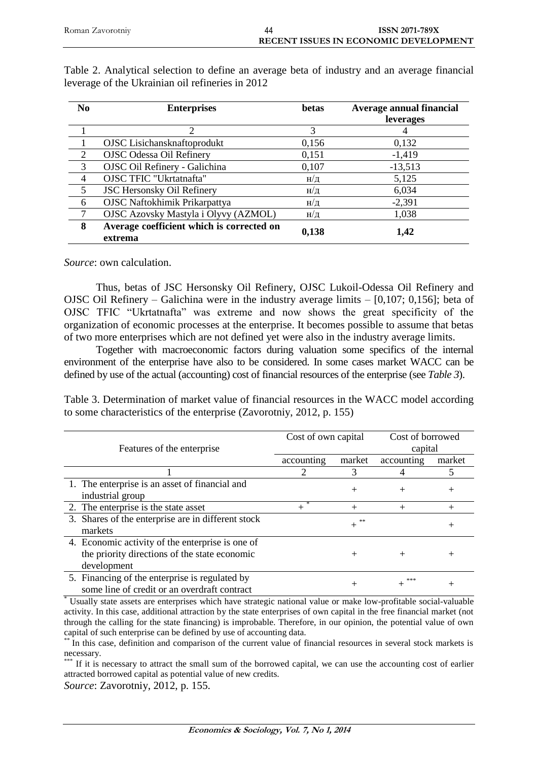| N <sub>0</sub> | <b>Enterprises</b>                                   | betas               | Average annual financial<br>leverages |
|----------------|------------------------------------------------------|---------------------|---------------------------------------|
|                |                                                      | 3                   |                                       |
|                | OJSC Lisichansknaftoprodukt                          | 0,156               | 0,132                                 |
| 2              | <b>OJSC Odessa Oil Refinery</b>                      | 0,151               | $-1,419$                              |
| $\overline{3}$ | OJSC Oil Refinery - Galichina                        | 0,107               | $-13,513$                             |
| $\overline{4}$ | OJSC TFIC "Ukrtatnafta"                              | $H/\mathcal{I}$     | 5,125                                 |
| 5              | <b>JSC Hersonsky Oil Refinery</b>                    | H/Д                 | 6,034                                 |
| 6              | <b>OJSC Naftokhimik Prikarpattya</b>                 | $H/\mathcal{\perp}$ | $-2,391$                              |
|                | OJSC Azovsky Mastyla i Olyvy (AZMOL)                 | H/Д                 | 1,038                                 |
| 8              | Average coefficient which is corrected on<br>extrema | 0,138               | 1,42                                  |

Table 2. Analytical selection to define an average beta of industry and an average financial leverage of the Ukrainian oil refineries in 2012

*Source*: own calculation.

Thus, betas of JSC Hersonsky Oil Refinery, OJSC Lukoil-Odessa Oil Refinery and OJSC Oil Refinery – Galichina were in the industry average limits – [0,107; 0,156]; beta of OJSC TFIC "Ukrtatnafta" was extreme and now shows the great specificity of the organization of economic processes at the enterprise. It becomes possible to assume that betas of two more enterprises which are not defined yet were also in the industry average limits.

Together with macroeconomic factors during valuation some specifics of the internal environment of the enterprise have also to be considered. In some cases market WACC can be defined by use of the actual (accounting) cost of financial resources of the enterprise (see *Table 3*).

Table 3. Determination of market value of financial resources in the WACC model according to some characteristics of the enterprise (Zavorotniy, 2012, p. 155)

| Features of the enterprise                                                                                       | Cost of own capital |              | Cost of borrowed<br>capital |        |
|------------------------------------------------------------------------------------------------------------------|---------------------|--------------|-----------------------------|--------|
|                                                                                                                  | accounting          | market       | accounting                  | market |
|                                                                                                                  |                     |              |                             |        |
| 1. The enterprise is an asset of financial and<br>industrial group                                               |                     | $^{+}$       | $^{+}$                      | $^{+}$ |
| 2. The enterprise is the state asset                                                                             |                     | $^{+}$       | $^{+}$                      | $+$    |
| 3. Shares of the enterprise are in different stock<br>markets                                                    |                     | **<br>$^{+}$ |                             | $\, +$ |
| 4. Economic activity of the enterprise is one of<br>the priority directions of the state economic<br>development |                     | $^{+}$       | $^{+}$                      | $^{+}$ |
| 5. Financing of the enterprise is regulated by<br>some line of credit or an overdraft contract                   |                     |              | ***                         | $^+$   |

\* Usually state assets are enterprises which have strategic national value or make low-profitable social-valuable activity. In this case, additional attraction by the state enterprises of own capital in the free financial market (not through the calling for the state financing) is improbable. Therefore, in our opinion, the potential value of own capital of such enterprise can be defined by use of accounting data.

In this case, definition and comparison of the current value of financial resources in several stock markets is necessary.

If it is necessary to attract the small sum of the borrowed capital, we can use the accounting cost of earlier attracted borrowed capital as potential value of new credits.

*Source*: Zavorotniy, 2012, p. 155.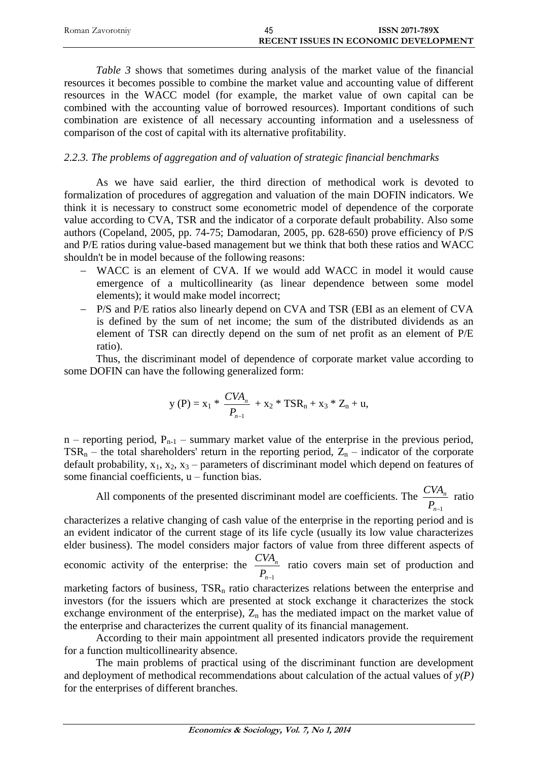| Roman Zavorotniy | <b>ISSN 2071-789X</b>                        |
|------------------|----------------------------------------------|
|                  | <b>RECENT ISSUES IN ECONOMIC DEVELOPMENT</b> |

*Table 3* shows that sometimes during analysis of the market value of the financial resources it becomes possible to combine the market value and accounting value of different resources in the WACC model (for example, the market value of own capital can be combined with the accounting value of borrowed resources). Important conditions of such combination are existence of all necessary accounting information and a uselessness of comparison of the cost of capital with its alternative profitability.

# *2.2.3. The problems of aggregation and of valuation of strategic financial benchmarks*

As we have said earlier, the third direction of methodical work is devoted to formalization of procedures of aggregation and valuation of the main DOFIN indicators. We think it is necessary to construct some econometric model of dependence of the corporate value according to CVA, TSR and the indicator of a corporate default probability. Also some authors (Copeland, 2005, pp. 74-75; Damodaran, 2005, pp. 628-650) prove efficiency of P/S and P/E ratios during value-based management but we think that both these ratios and WACC shouldn't be in model because of the following reasons:

- WACC is an element of CVA. If we would add WACC in model it would cause emergence of a multicollinearity (as linear dependence between some model elements); it would make model incorrect;
- P/S and P/E ratios also linearly depend on CVA and TSR (EBI as an element of CVA is defined by the sum of net income; the sum of the distributed dividends as an element of TSR can directly depend on the sum of net profit as an element of P/E ratio).

Thus, the discriminant model of dependence of corporate market value according to some DOFIN can have the following generalized form:

$$
y(P) = x_1 * \frac{CVA_n}{P_{n-1}} + x_2 * TSR_n + x_3 * Z_n + u,
$$

 $n$  – reporting period,  $P_{n-1}$  – summary market value of the enterprise in the previous period,  $TSR_n$  – the total shareholders' return in the reporting period,  $Z_n$  – indicator of the corporate default probability,  $x_1$ ,  $x_2$ ,  $x_3$  – parameters of discriminant model which depend on features of some financial coefficients, u – function bias.

All components of the presented discriminant model are coefficients. The *n*<sup>-1</sup> *n P*  $\frac{CVA_n}{\Gamma}$  ratio

characterizes a relative changing of cash value of the enterprise in the reporting period and is an evident indicator of the current stage of its life cycle (usually its low value characterizes elder business). The model considers major factors of value from three different aspects of economic activity of the enterprise: the *n*<sup>-1</sup> *n P*  $\frac{CVA_n}{\Delta}$  ratio covers main set of production and marketing factors of business,  $TSR<sub>n</sub>$  ratio characterizes relations between the enterprise and investors (for the issuers which are presented at stock exchange it characterizes the stock exchange environment of the enterprise),  $Z_n$  has the mediated impact on the market value of the enterprise and characterizes the current quality of its financial management.

According to their main appointment all presented indicators provide the requirement for a function multicollinearity absence.

The main problems of practical using of the discriminant function are development and deployment of methodical recommendations about calculation of the actual values of *y(P)* for the enterprises of different branches.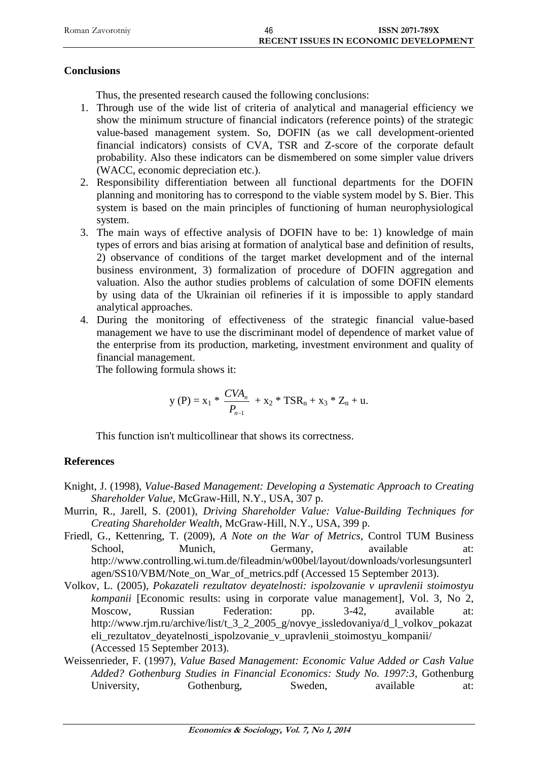| Roman Zavorotniv | 46 | <b>ISSN 2071-789X</b>                 |
|------------------|----|---------------------------------------|
|                  |    | RECENT ISSUES IN ECONOMIC DEVELOPMENT |

#### **Conclusions**

Thus, the presented research caused the following conclusions:

- 1. Through use of the wide list of criteria of analytical and managerial efficiency we show the minimum structure of financial indicators (reference points) of the strategic value-based management system. So, DOFIN (as we call development-oriented financial indicators) consists of CVA, TSR and Z-score of the corporate default probability. Also these indicators can be dismembered on some simpler value drivers (WACC, economic depreciation etc.).
- 2. Responsibility differentiation between all functional departments for the DOFIN planning and monitoring has to correspond to the viable system model by S. Bier. This system is based on the main principles of functioning of human neurophysiological system.
- 3. The main ways of effective analysis of DOFIN have to be: 1) knowledge of main types of errors and bias arising at formation of analytical base and definition of results, 2) observance of conditions of the target market development and of the internal business environment, 3) formalization of procedure of DOFIN aggregation and valuation. Also the author studies problems of calculation of some DOFIN elements by using data of the Ukrainian oil refineries if it is impossible to apply standard analytical approaches.
- 4. During the monitoring of effectiveness of the strategic financial value-based management we have to use the discriminant model of dependence of market value of the enterprise from its production, marketing, investment environment and quality of financial management.

The following formula shows it:

$$
y(P) = x_1 * \frac{CVA_n}{P_{n-1}} + x_2 * TSR_n + x_3 * Z_n + u.
$$

This function isn't multicollinear that shows its correctness.

# **References**

- Knight, J. (1998), *Value-Based Management: Developing a Systematic Approach to Creating Shareholder Value*, McGraw-Hill, N.Y., USA, 307 p.
- Murrin, R., Jarell, S. (2001), *Driving Shareholder Value: Value-Building Techniques for Creating Shareholder Wealth*, McGraw-Hill, N.Y., USA, 399 p.
- Friedl, G., Kettenring, T. (2009), *A Note on the War of Metrics*, Control TUM Business School, Munich, Germany, available at: [http://www.controlling.wi.tum.de/fileadmin/w00bel/layout/downloads/vorlesungsunterl](http://www.controlling.wi.tum.de/fileadmin/w00bel/layout/downloads/vorlesungsunterlagen/SS10/VBM/Note_on_War_of_metrics.pdf) [agen/SS10/VBM/Note\\_on\\_War\\_of\\_metrics.pdf](http://www.controlling.wi.tum.de/fileadmin/w00bel/layout/downloads/vorlesungsunterlagen/SS10/VBM/Note_on_War_of_metrics.pdf) (Accessed 15 September 2013).
- Volkov, L. (2005), *Pokazateli rezultatov deyatelnosti: ispolzovanie v upravlenii stoimostyu kompanii* [Economic results: using in corporate value management], Vol. 3, No 2, Moscow, Russian Federation: pp. 3-42, available at: [http://www.rjm.ru/archive/list/t\\_3\\_2\\_2005\\_g/novye\\_issledovaniya/d\\_l\\_volkov\\_pokazat](http://www.rjm.ru/archive/list/t_3_2_2005_g/novye_issledovaniya/d_l_volkov_pokazateli_rezultatov_deyatelnosti_ispolzovanie_v_upravlenii_stoimostyu_kompanii/) [eli\\_rezultatov\\_deyatelnosti\\_ispolzovanie\\_v\\_upravlenii\\_stoimostyu\\_kompanii/](http://www.rjm.ru/archive/list/t_3_2_2005_g/novye_issledovaniya/d_l_volkov_pokazateli_rezultatov_deyatelnosti_ispolzovanie_v_upravlenii_stoimostyu_kompanii/) (Accessed 15 September 2013).
- Weissenrieder, F. (1997), *Value Based Management: Economic Value Added or Cash Value Added? Gothenburg Studies in Financial Economics: Study No. 1997:3*, Gothenburg University, Gothenburg, Sweden, available at: